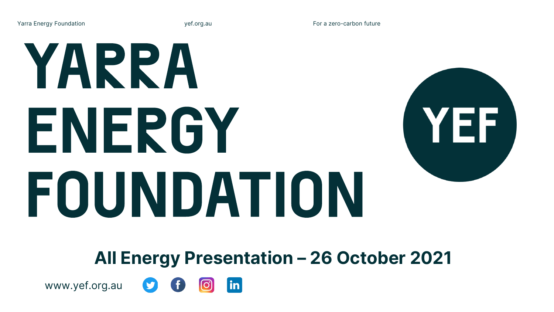**Yarra Energy Foundation yef.org.au For a zero-carbon future**

# YARRA ENERGY FOUNDATION



**All Energy Presentation – 26 October 2021**



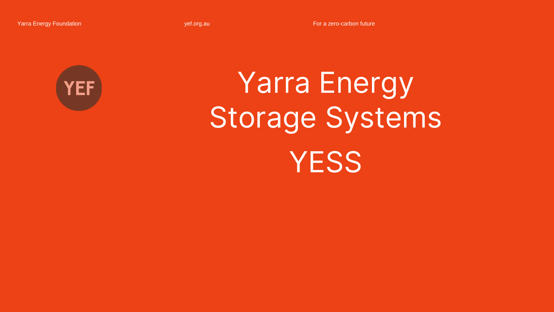Yarra Energy Foundation **The Contract of Contract Contract Contract Contract Contract Contract Contract Contract Contract Contract Contract Contract Contract Contract Contract Contract Contract Contract Contract Contract C** 



## **Yarra Energy Storage Systems YESS**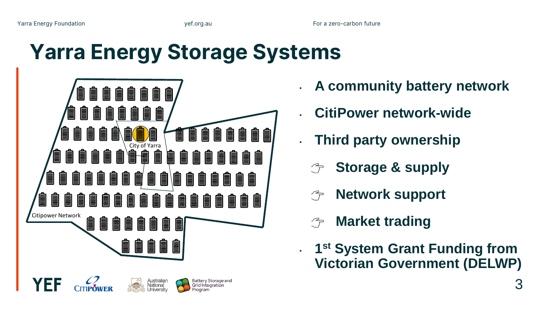#### **Yarra Energy Storage Systems**



- **A community battery network**
- **CitiPower network-wide**
- **Third party ownership** 
	- **Storage & supply**
	- **Network support**
	- **Market trading**
- **1 st System Grant Funding from Victorian Government (DELWP)**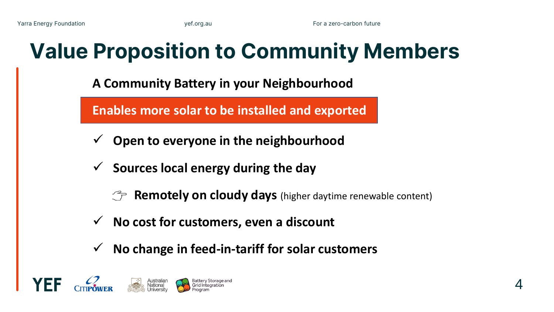#### **Value Proposition to Community Members**

**A Community Battery in your Neighbourhood** 

**Enables more solar to be installed and exported**

- ✓ **Open to everyone in the neighbourhood**
- ✓ **Sources local energy during the day**

**The Remotely on cloudy days** (higher daytime renewable content)

- ✓ **No cost for customers, even a discount**
- ✓ **No change in feed-in-tariff for solar customers**

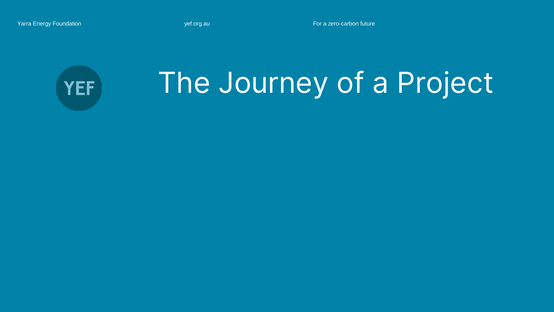Yarra Energy Foundation **The Contract of Contract Contract Contract Contract Contract Contract Contract Contract Contract Contract Contract Contract Contract Contract Contract Contract Contract Contract Contract Contract C** 



### **The Journey of a Project**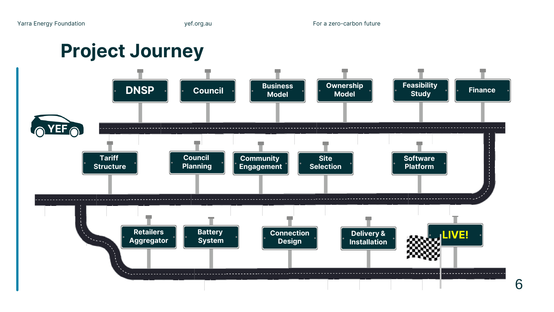**Project Journey**